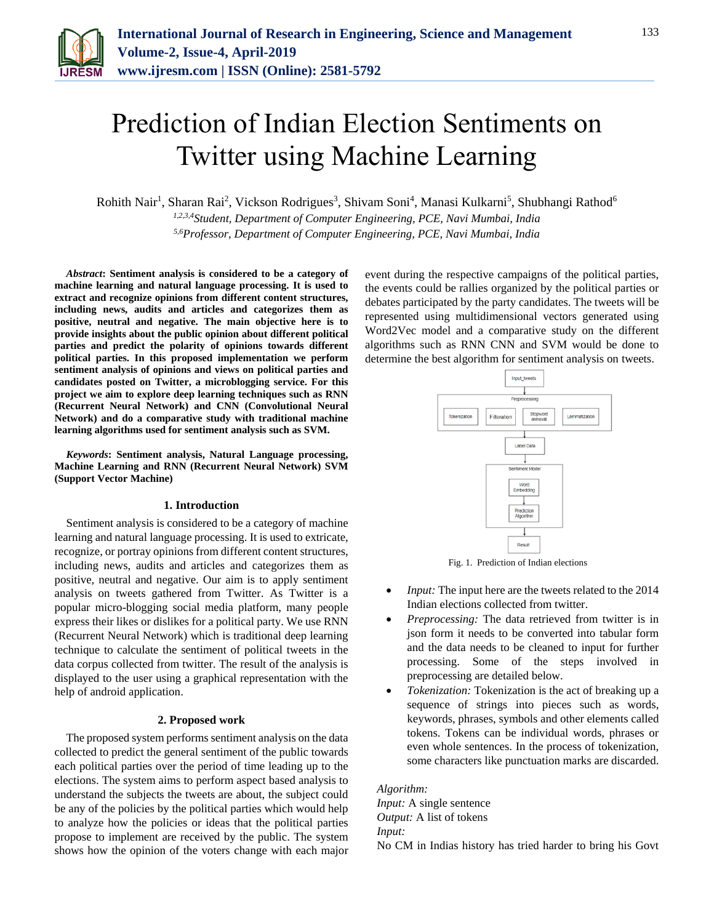

# Prediction of Indian Election Sentiments on Twitter using Machine Learning

Rohith Nair<sup>1</sup>, Sharan Rai<sup>2</sup>, Vickson Rodrigues<sup>3</sup>, Shivam Soni<sup>4</sup>, Manasi Kulkarni<sup>5</sup>, Shubhangi Rathod<sup>6</sup> *1,2,3,4Student, Department of Computer Engineering, PCE, Navi Mumbai, India*

*5,6Professor, Department of Computer Engineering, PCE, Navi Mumbai, India*

*Abstract***: Sentiment analysis is considered to be a category of machine learning and natural language processing. It is used to extract and recognize opinions from different content structures, including news, audits and articles and categorizes them as positive, neutral and negative. The main objective here is to provide insights about the public opinion about different political parties and predict the polarity of opinions towards different political parties. In this proposed implementation we perform sentiment analysis of opinions and views on political parties and candidates posted on Twitter, a microblogging service. For this project we aim to explore deep learning techniques such as RNN (Recurrent Neural Network) and CNN (Convolutional Neural Network) and do a comparative study with traditional machine learning algorithms used for sentiment analysis such as SVM.**

*Keywords***: Sentiment analysis, Natural Language processing, Machine Learning and RNN (Recurrent Neural Network) SVM (Support Vector Machine)**

#### **1. Introduction**

Sentiment analysis is considered to be a category of machine learning and natural language processing. It is used to extricate, recognize, or portray opinions from different content structures, including news, audits and articles and categorizes them as positive, neutral and negative. Our aim is to apply sentiment analysis on tweets gathered from Twitter. As Twitter is a popular micro-blogging social media platform, many people express their likes or dislikes for a political party. We use RNN (Recurrent Neural Network) which is traditional deep learning technique to calculate the sentiment of political tweets in the data corpus collected from twitter. The result of the analysis is displayed to the user using a graphical representation with the help of android application.

#### **2. Proposed work**

The proposed system performs sentiment analysis on the data collected to predict the general sentiment of the public towards each political parties over the period of time leading up to the elections. The system aims to perform aspect based analysis to understand the subjects the tweets are about, the subject could be any of the policies by the political parties which would help to analyze how the policies or ideas that the political parties propose to implement are received by the public. The system shows how the opinion of the voters change with each major

event during the respective campaigns of the political parties, the events could be rallies organized by the political parties or debates participated by the party candidates. The tweets will be represented using multidimensional vectors generated using Word2Vec model and a comparative study on the different algorithms such as RNN CNN and SVM would be done to determine the best algorithm for sentiment analysis on tweets.



Fig. 1. Prediction of Indian elections

- *Input:* The input here are the tweets related to the 2014 Indian elections collected from twitter.
- *Preprocessing:* The data retrieved from twitter is in json form it needs to be converted into tabular form and the data needs to be cleaned to input for further processing. Some of the steps involved in preprocessing are detailed below.
- *Tokenization:* Tokenization is the act of breaking up a sequence of strings into pieces such as words, keywords, phrases, symbols and other elements called tokens. Tokens can be individual words, phrases or even whole sentences. In the process of tokenization, some characters like punctuation marks are discarded.

*Algorithm: Input:* A single sentence *Output:* A list of tokens *Input:* No CM in Indias history has tried harder to bring his Govt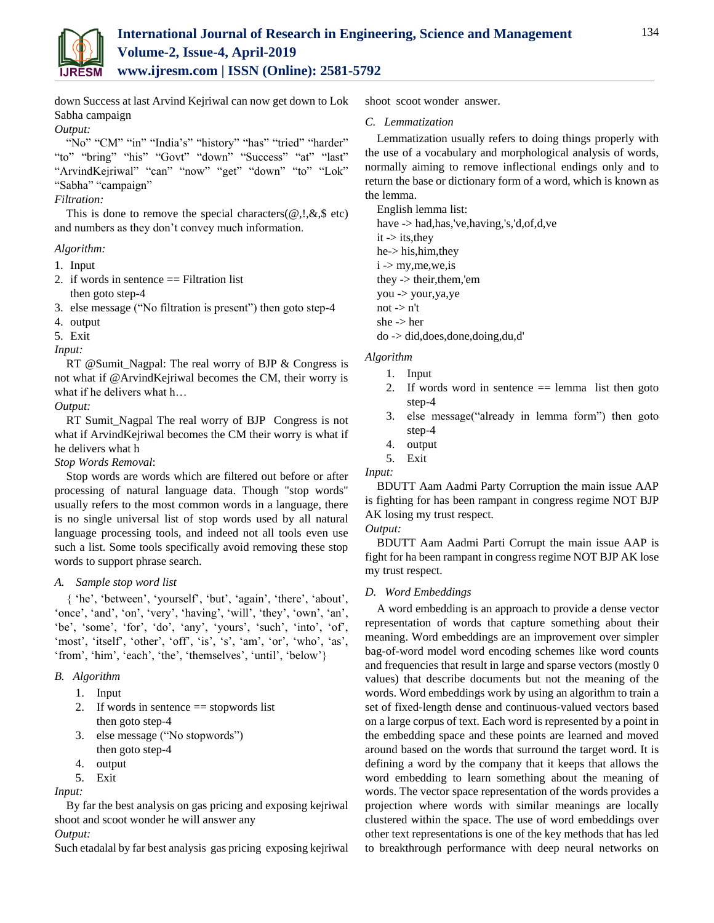

down Success at last Arvind Kejriwal can now get down to Lok Sabha campaign

## *Output:*

"No" "CM" "in" "India's" "history" "has" "tried" "harder" "to" "bring" "his" "Govt" "down" "Success" "at" "last" "ArvindKejriwal" "can" "now" "get" "down" "to" "Lok" "Sabha" "campaign"

## *Filtration:*

This is done to remove the special characters( $\omega$ ,!, $\&$ , $\&$  etc) and numbers as they don't convey much information.

# *Algorithm:*

- 1. Input
- 2. if words in sentence  $==$  Filtration list then goto step-4
- 3. else message ("No filtration is present") then goto step-4
- 4. output
- 5. Exit

*Input:*

RT @Sumit\_Nagpal: The real worry of BJP & Congress is not what if @ArvindKejriwal becomes the CM, their worry is what if he delivers what h…

## *Output:*

RT Sumit\_Nagpal The real worry of BJP Congress is not what if ArvindKejriwal becomes the CM their worry is what if he delivers what h

## *Stop Words Removal*:

Stop words are words which are filtered out before or after processing of natural language data. Though "stop words" usually refers to the most common words in a language, there is no single universal list of stop words used by all natural language processing tools, and indeed not all tools even use such a list. Some tools specifically avoid removing these stop words to support phrase search.

## *A. Sample stop word list*

{ 'he', 'between', 'yourself', 'but', 'again', 'there', 'about', 'once', 'and', 'on', 'very', 'having', 'will', 'they', 'own', 'an', 'be', 'some', 'for', 'do', 'any', 'yours', 'such', 'into', 'of', 'most', 'itself', 'other', 'off', 'is', 's', 'am', 'or', 'who', 'as', 'from', 'him', 'each', 'the', 'themselves', 'until', 'below'}

## *B. Algorithm*

- 1. Input
- 2. If words in sentence  $==$  stopwords list then goto step-4
- 3. else message ("No stopwords") then goto step-4
- 4. output
- 5. Exit

## *Input:*

By far the best analysis on gas pricing and exposing kejriwal shoot and scoot wonder he will answer any

# *Output:*

Such etadalal by far best analysis gas pricing exposing kejriwal

shoot scoot wonder answer.

## *C. Lemmatization*

Lemmatization usually refers to doing things properly with the use of a vocabulary and morphological analysis of words, normally aiming to remove inflectional endings only and to return the base or dictionary form of a word, which is known as the lemma.

English lemma list: have -> had,has,'ve,having,'s,'d,of,d,ve it -> its,they he-> his,him,they  $i >$  my, me, we, is they -> their,them,'em you -> your,ya,ye not  $\rightarrow$  n't she -> her do -> did,does,done,doing,du,d'

# *Algorithm*

- 1. Input
- 2. If words word in sentence  $==$  lemma list then goto step-4
- 3. else message("already in lemma form") then goto step-4
- 4. output
- 5. Exit
- *Input:*

BDUTT Aam Aadmi Party Corruption the main issue AAP is fighting for has been rampant in congress regime NOT BJP AK losing my trust respect.

*Output:*

BDUTT Aam Aadmi Parti Corrupt the main issue AAP is fight for ha been rampant in congress regime NOT BJP AK lose my trust respect.

## *D. Word Embeddings*

A word embedding is an approach to provide a dense vector representation of words that capture something about their meaning. Word embeddings are an improvement over simpler bag-of-word model word encoding schemes like word counts and frequencies that result in large and sparse vectors (mostly 0 values) that describe documents but not the meaning of the words. Word embeddings work by using an algorithm to train a set of fixed-length dense and continuous-valued vectors based on a large corpus of text. Each word is represented by a point in the embedding space and these points are learned and moved around based on the words that surround the target word. It is defining a word by the company that it keeps that allows the word embedding to learn something about the meaning of words. The vector space representation of the words provides a projection where words with similar meanings are locally clustered within the space. The use of word embeddings over other text representations is one of the key methods that has led to breakthrough performance with deep neural networks on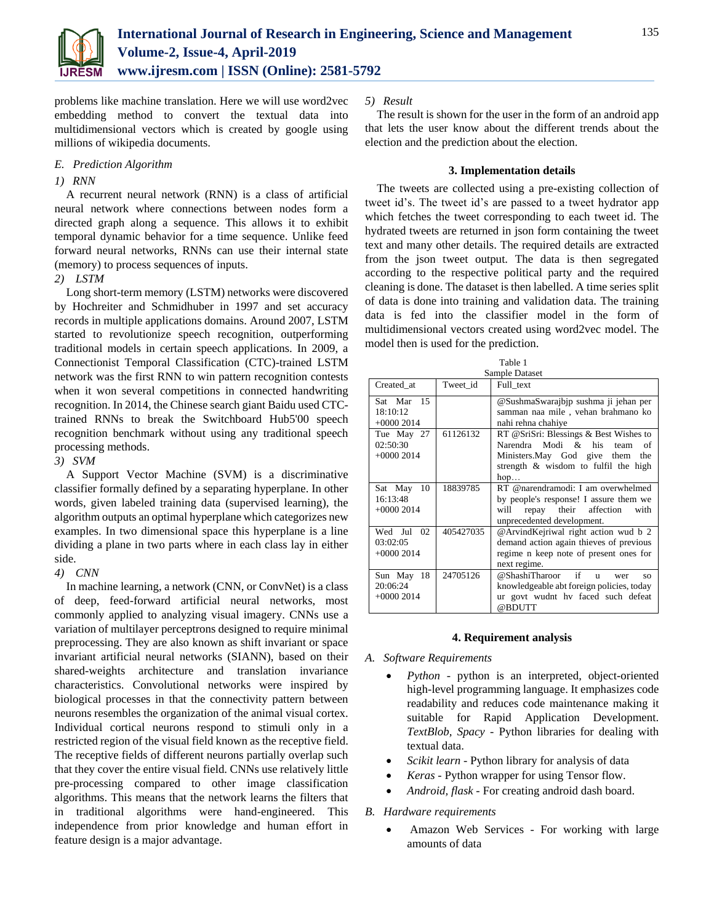

problems like machine translation. Here we will use word2vec embedding method to convert the textual data into multidimensional vectors which is created by google using millions of wikipedia documents.

#### *E. Prediction Algorithm*

## *1) RNN*

A recurrent neural network (RNN) is a class of artificial neural network where connections between nodes form a directed graph along a sequence. This allows it to exhibit temporal dynamic behavior for a time sequence. Unlike feed forward neural networks, RNNs can use their internal state (memory) to process sequences of inputs.

#### *2) LSTM*

Long short-term memory (LSTM) networks were discovered by Hochreiter and Schmidhuber in 1997 and set accuracy records in multiple applications domains. Around 2007, LSTM started to revolutionize speech recognition, outperforming traditional models in certain speech applications. In 2009, a Connectionist Temporal Classification (CTC)-trained LSTM network was the first RNN to win pattern recognition contests when it won several competitions in connected handwriting recognition. In 2014, the Chinese search giant Baidu used CTCtrained RNNs to break the Switchboard Hub5'00 speech recognition benchmark without using any traditional speech processing methods.

*3) SVM*

A Support Vector Machine (SVM) is a discriminative classifier formally defined by a separating hyperplane. In other words, given labeled training data (supervised learning), the algorithm outputs an optimal hyperplane which categorizes new examples. In two dimensional space this hyperplane is a line dividing a plane in two parts where in each class lay in either side.

## *4) CNN*

In machine learning, a network (CNN, or ConvNet) is a class of deep, feed-forward artificial neural networks, most commonly applied to analyzing visual imagery. CNNs use a variation of multilayer perceptrons designed to require minimal preprocessing. They are also known as shift invariant or space invariant artificial neural networks (SIANN), based on their shared-weights architecture and translation invariance characteristics. Convolutional networks were inspired by biological processes in that the connectivity pattern between neurons resembles the organization of the animal visual cortex. Individual cortical neurons respond to stimuli only in a restricted region of the visual field known as the receptive field. The receptive fields of different neurons partially overlap such that they cover the entire visual field. CNNs use relatively little pre-processing compared to other image classification algorithms. This means that the network learns the filters that in traditional algorithms were hand-engineered. This independence from prior knowledge and human effort in feature design is a major advantage.

## *5) Result*

The result is shown for the user in the form of an android app that lets the user know about the different trends about the election and the prediction about the election.

#### **3. Implementation details**

The tweets are collected using a pre-existing collection of tweet id's. The tweet id's are passed to a tweet hydrator app which fetches the tweet corresponding to each tweet id. The hydrated tweets are returned in json form containing the tweet text and many other details. The required details are extracted from the json tweet output. The data is then segregated according to the respective political party and the required cleaning is done. The dataset is then labelled. A time series split of data is done into training and validation data. The training data is fed into the classifier model in the form of multidimensional vectors created using word2vec model. The model then is used for the prediction.

| Table 1                                  |           |                                                                                                                                                               |
|------------------------------------------|-----------|---------------------------------------------------------------------------------------------------------------------------------------------------------------|
| Sample Dataset                           |           |                                                                                                                                                               |
| Created at                               | Tweet_id  | Full text                                                                                                                                                     |
| Sat Mar 15<br>18:10:12<br>$+00002014$    |           | @SushmaSwarajbjp sushma ji jehan per<br>samman naa mile, vehan brahmano ko<br>nahi rehna chahiye                                                              |
| Tue May 27<br>02:50:30<br>$+00002014$    | 61126132  | RT @SriSri: Blessings & Best Wishes to<br>Narendra Modi & his team<br>of<br>Ministers.May God give them<br>the<br>strength & wisdom to fulfil the high<br>hop |
| Sat May<br>10<br>16:13:48<br>$+00002014$ | 18839785  | RT @narendramodi: I am overwhelmed<br>by people's response! I assure them we<br>repay their affection<br>with<br>will<br>unprecedented development.           |
| Wed Jul<br>02<br>03:02:05<br>$+00002014$ | 405427035 | @ArvindKejriwal right action wud b 2<br>demand action again thieves of previous<br>regime n keep note of present ones for<br>next regime.                     |
| 18<br>Sun May<br>20:06:24<br>$+00002014$ | 24705126  | if<br>@ShashiTharoor<br>$\mathbf{u}$<br>wer<br>SO.<br>knowledgeable abt foreign policies, today<br>ur govt wudnt hy faced such defeat<br>@BDUTT               |

## **4. Requirement analysis**

- *A. Software Requirements*
	- *Python -* python is an interpreted, object-oriented high-level programming language. It emphasizes code readability and reduces code maintenance making it suitable for Rapid Application Development. *TextBlob, Spacy -* Python libraries for dealing with textual data.
	- *Scikit learn -* Python library for analysis of data
	- *Keras -* Python wrapper for using Tensor flow.
	- *Android, flask -* For creating android dash board.

## *B. Hardware requirements*

• Amazon Web Services - For working with large amounts of data